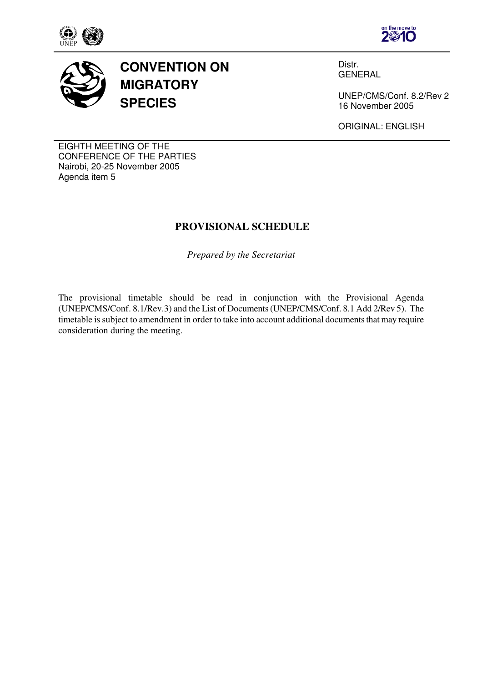





**CONVENTION ON MIGRATORY SPECIES**

Distr. GENERAL

UNEP/CMS/Conf. 8.2/Rev 2 16 November 2005

ORIGINAL: ENGLISH

EIGHTH MEETING OF THE CONFERENCE OF THE PARTIES Nairobi, 20-25 November 2005 Agenda item 5

## **PROVISIONAL SCHEDULE**

*Prepared by the Secretariat* 

The provisional timetable should be read in conjunction with the Provisional Agenda (UNEP/CMS/Conf. 8.1/Rev.3) and the List of Documents (UNEP/CMS/Conf. 8.1 Add 2/Rev 5). The timetable is subject to amendment in order to take into account additional documents that may require consideration during the meeting.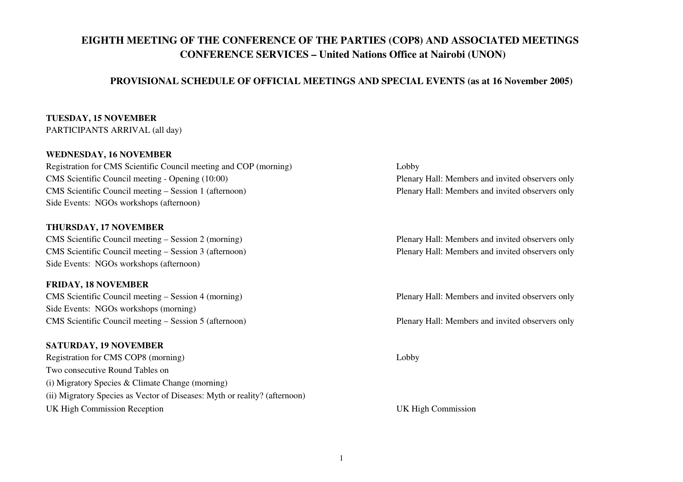# **EIGHTH MEETING OF THE CONFERENCE OF THE PARTIES (COP8) AND ASSOCIATED MEETINGS CONFERENCE SERVICES – United Nations Office at Nairobi (UNON)**

#### **PROVISIONAL SCHEDULE OF OFFICIAL MEETINGS AND SPECIAL EVENTS (as at 16 November 2005)**

# **TUESDAY, 15 NOVEMBER**

PARTICIPANTS ARRIVAL (all day)

#### **WEDNESDAY, 16 NOVEMBER**

 Registration for CMS Scientific Council meeting and COP (morning) Lobby CMS Scientific Council meeting - Opening (10:00) Plenary Hall: Members and invited observers onlyCMS Scientific Council meeting – Session 1 (afternoon) Side Events: NGOs workshops (afternoon)

#### **THURSDAY, 17 NOVEMBER**

 CMS Scientific Council meeting – Session 2 (morning) Plenary Hall: Members and invited observers only CMS Scientific Council meeting – Session 3 (afternoon) Plenary Hall: Members and invited observers only Side Events: NGOs workshops (afternoon)

#### **FRIDAY, 18 NOVEMBER**

 CMS Scientific Council meeting – Session 4 (morning) Plenary Hall: Members and invited observers only Side Events: NGOs workshops (morning) CMS Scientific Council meeting – Session 5 (afternoon) Plenary Hall: Members and invited observers only

### **SATURDAY, 19 NOVEMBER**

 Registration for CMS COP8 (morning) Lobby Two consecutive Round Tables on (i) Migratory Species & Climate Change (morning) (ii) Migratory Species as Vector of Diseases: Myth or reality? (afternoon) UK High Commission Reception UK High Commission

Plenary Hall: Members and invited observers only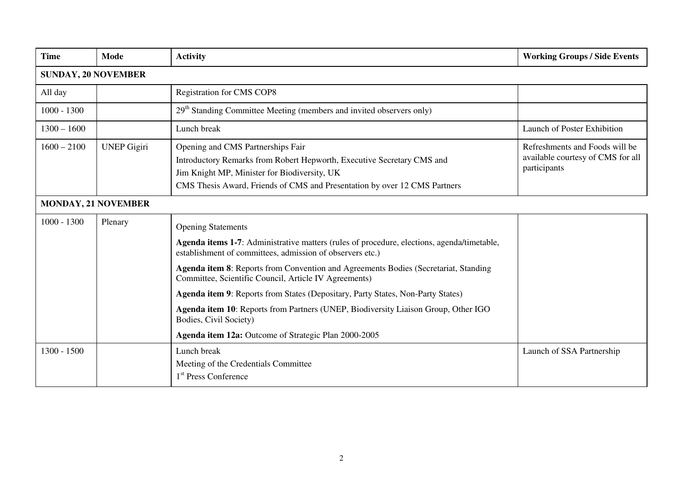| <b>Time</b>                | Mode               | <b>Activity</b>                                                                                                                                                                                                                                                                                                                                                                                                                                                                                                                                                                                 | <b>Working Groups / Side Events</b>                                                 |
|----------------------------|--------------------|-------------------------------------------------------------------------------------------------------------------------------------------------------------------------------------------------------------------------------------------------------------------------------------------------------------------------------------------------------------------------------------------------------------------------------------------------------------------------------------------------------------------------------------------------------------------------------------------------|-------------------------------------------------------------------------------------|
| <b>SUNDAY, 20 NOVEMBER</b> |                    |                                                                                                                                                                                                                                                                                                                                                                                                                                                                                                                                                                                                 |                                                                                     |
| All day                    |                    | <b>Registration for CMS COP8</b>                                                                                                                                                                                                                                                                                                                                                                                                                                                                                                                                                                |                                                                                     |
| $1000 - 1300$              |                    | 29 <sup>th</sup> Standing Committee Meeting (members and invited observers only)                                                                                                                                                                                                                                                                                                                                                                                                                                                                                                                |                                                                                     |
| $1300 - 1600$              |                    | Lunch break                                                                                                                                                                                                                                                                                                                                                                                                                                                                                                                                                                                     | Launch of Poster Exhibition                                                         |
| $1600 - 2100$              | <b>UNEP Gigiri</b> | Opening and CMS Partnerships Fair<br>Introductory Remarks from Robert Hepworth, Executive Secretary CMS and<br>Jim Knight MP, Minister for Biodiversity, UK<br>CMS Thesis Award, Friends of CMS and Presentation by over 12 CMS Partners                                                                                                                                                                                                                                                                                                                                                        | Refreshments and Foods will be<br>available courtesy of CMS for all<br>participants |
| <b>MONDAY, 21 NOVEMBER</b> |                    |                                                                                                                                                                                                                                                                                                                                                                                                                                                                                                                                                                                                 |                                                                                     |
| $1000 - 1300$              | Plenary            | <b>Opening Statements</b><br>Agenda items 1-7: Administrative matters (rules of procedure, elections, agenda/timetable,<br>establishment of committees, admission of observers etc.)<br>Agenda item 8: Reports from Convention and Agreements Bodies (Secretariat, Standing<br>Committee, Scientific Council, Article IV Agreements)<br>Agenda item 9: Reports from States (Depositary, Party States, Non-Party States)<br>Agenda item 10: Reports from Partners (UNEP, Biodiversity Liaison Group, Other IGO<br>Bodies, Civil Society)<br>Agenda item 12a: Outcome of Strategic Plan 2000-2005 |                                                                                     |
| $1300 - 1500$              |                    | Lunch break<br>Meeting of the Credentials Committee<br>1 <sup>st</sup> Press Conference                                                                                                                                                                                                                                                                                                                                                                                                                                                                                                         | Launch of SSA Partnership                                                           |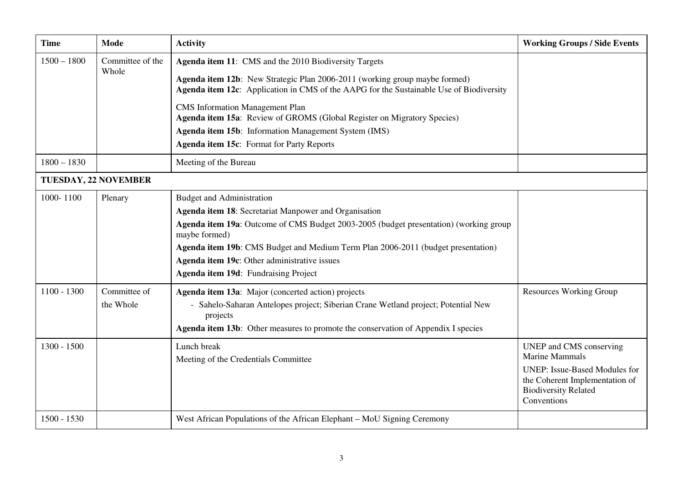| <b>Time</b>          | <b>Mode</b>               | <b>Activity</b>                                                                                                                                                                                                                                                                                                                                                                 | <b>Working Groups / Side Events</b>                                                                                                                                      |
|----------------------|---------------------------|---------------------------------------------------------------------------------------------------------------------------------------------------------------------------------------------------------------------------------------------------------------------------------------------------------------------------------------------------------------------------------|--------------------------------------------------------------------------------------------------------------------------------------------------------------------------|
| $1500 - 1800$        | Committee of the<br>Whole | Agenda item 11: CMS and the 2010 Biodiversity Targets<br>Agenda item 12b: New Strategic Plan 2006-2011 (working group maybe formed)<br>Agenda item 12c: Application in CMS of the AAPG for the Sustainable Use of Biodiversity<br><b>CMS</b> Information Management Plan<br>Agenda item 15a: Review of GROMS (Global Register on Migratory Species)                             |                                                                                                                                                                          |
|                      |                           | Agenda item 15b: Information Management System (IMS)<br><b>Agenda item 15c:</b> Format for Party Reports                                                                                                                                                                                                                                                                        |                                                                                                                                                                          |
| $1800 - 1830$        |                           | Meeting of the Bureau                                                                                                                                                                                                                                                                                                                                                           |                                                                                                                                                                          |
| TUESDAY, 22 NOVEMBER |                           |                                                                                                                                                                                                                                                                                                                                                                                 |                                                                                                                                                                          |
| 1000-1100            | Plenary                   | <b>Budget and Administration</b><br>Agenda item 18: Secretariat Manpower and Organisation<br>Agenda item 19a: Outcome of CMS Budget 2003-2005 (budget presentation) (working group<br>maybe formed)<br>Agenda item 19b: CMS Budget and Medium Term Plan 2006-2011 (budget presentation)<br>Agenda item 19c: Other administrative issues<br>Agenda item 19d: Fundraising Project |                                                                                                                                                                          |
| $1100 - 1300$        | Committee of<br>the Whole | Agenda item 13a: Major (concerted action) projects<br>- Sahelo-Saharan Antelopes project; Siberian Crane Wetland project; Potential New<br>projects<br>Agenda item 13b: Other measures to promote the conservation of Appendix I species                                                                                                                                        | <b>Resources Working Group</b>                                                                                                                                           |
| $1300 - 1500$        |                           | Lunch break<br>Meeting of the Credentials Committee                                                                                                                                                                                                                                                                                                                             | UNEP and CMS conserving<br><b>Marine Mammals</b><br><b>UNEP: Issue-Based Modules for</b><br>the Coherent Implementation of<br><b>Biodiversity Related</b><br>Conventions |
| 1500 - 1530          |                           | West African Populations of the African Elephant – MoU Signing Ceremony                                                                                                                                                                                                                                                                                                         |                                                                                                                                                                          |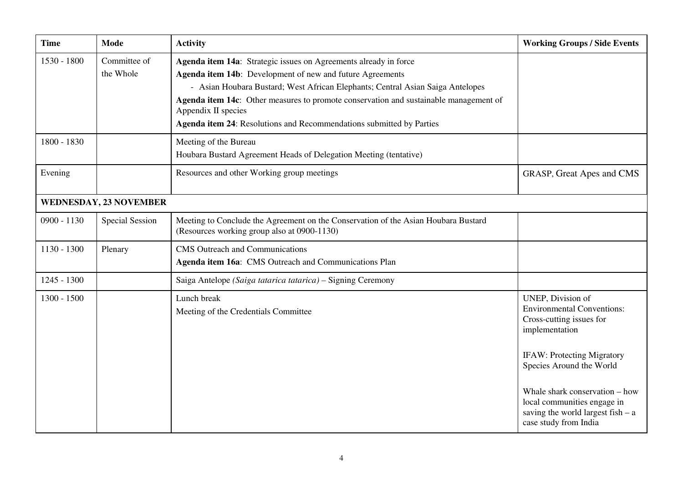| <b>Time</b>   | <b>Mode</b>                   | <b>Activity</b>                                                                                                                                                                                                                                                                                                                                                                                         | <b>Working Groups / Side Events</b>                                                                                           |  |
|---------------|-------------------------------|---------------------------------------------------------------------------------------------------------------------------------------------------------------------------------------------------------------------------------------------------------------------------------------------------------------------------------------------------------------------------------------------------------|-------------------------------------------------------------------------------------------------------------------------------|--|
| 1530 - 1800   | Committee of<br>the Whole     | Agenda item 14a: Strategic issues on Agreements already in force<br>Agenda item 14b: Development of new and future Agreements<br>- Asian Houbara Bustard; West African Elephants; Central Asian Saiga Antelopes<br>Agenda item 14c: Other measures to promote conservation and sustainable management of<br>Appendix II species<br>Agenda item 24: Resolutions and Recommendations submitted by Parties |                                                                                                                               |  |
| 1800 - 1830   |                               | Meeting of the Bureau<br>Houbara Bustard Agreement Heads of Delegation Meeting (tentative)                                                                                                                                                                                                                                                                                                              |                                                                                                                               |  |
| Evening       |                               | Resources and other Working group meetings                                                                                                                                                                                                                                                                                                                                                              | <b>GRASP, Great Apes and CMS</b>                                                                                              |  |
|               | <b>WEDNESDAY, 23 NOVEMBER</b> |                                                                                                                                                                                                                                                                                                                                                                                                         |                                                                                                                               |  |
| $0900 - 1130$ | <b>Special Session</b>        | Meeting to Conclude the Agreement on the Conservation of the Asian Houbara Bustard<br>(Resources working group also at 0900-1130)                                                                                                                                                                                                                                                                       |                                                                                                                               |  |
| 1130 - 1300   | Plenary                       | <b>CMS</b> Outreach and Communications<br>Agenda item 16a: CMS Outreach and Communications Plan                                                                                                                                                                                                                                                                                                         |                                                                                                                               |  |
| $1245 - 1300$ |                               | Saiga Antelope (Saiga tatarica tatarica) - Signing Ceremony                                                                                                                                                                                                                                                                                                                                             |                                                                                                                               |  |
| 1300 - 1500   |                               | Lunch break<br>Meeting of the Credentials Committee                                                                                                                                                                                                                                                                                                                                                     | UNEP, Division of<br><b>Environmental Conventions:</b><br>Cross-cutting issues for<br>implementation                          |  |
|               |                               |                                                                                                                                                                                                                                                                                                                                                                                                         | <b>IFAW: Protecting Migratory</b><br>Species Around the World                                                                 |  |
|               |                               |                                                                                                                                                                                                                                                                                                                                                                                                         | Whale shark conservation – how<br>local communities engage in<br>saving the world largest fish $- a$<br>case study from India |  |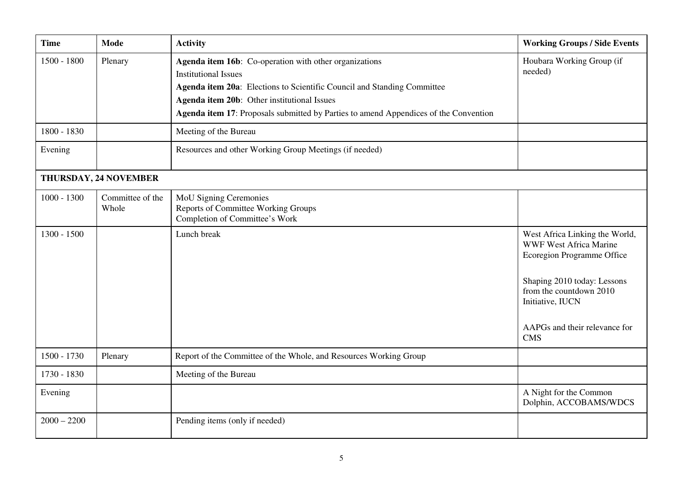| <b>Time</b>   | <b>Mode</b>               | <b>Activity</b>                                                                                                                                                                                                                                                                                         | <b>Working Groups / Side Events</b>                                                                                                                                                                                        |  |
|---------------|---------------------------|---------------------------------------------------------------------------------------------------------------------------------------------------------------------------------------------------------------------------------------------------------------------------------------------------------|----------------------------------------------------------------------------------------------------------------------------------------------------------------------------------------------------------------------------|--|
| 1500 - 1800   | Plenary                   | Agenda item 16b: Co-operation with other organizations<br><b>Institutional Issues</b><br>Agenda item 20a: Elections to Scientific Council and Standing Committee<br>Agenda item 20b: Other institutional Issues<br>Agenda item 17: Proposals submitted by Parties to amend Appendices of the Convention | Houbara Working Group (if<br>needed)                                                                                                                                                                                       |  |
| 1800 - 1830   |                           | Meeting of the Bureau                                                                                                                                                                                                                                                                                   |                                                                                                                                                                                                                            |  |
| Evening       |                           | Resources and other Working Group Meetings (if needed)                                                                                                                                                                                                                                                  |                                                                                                                                                                                                                            |  |
|               | THURSDAY, 24 NOVEMBER     |                                                                                                                                                                                                                                                                                                         |                                                                                                                                                                                                                            |  |
| $1000 - 1300$ | Committee of the<br>Whole | <b>MoU Signing Ceremonies</b><br>Reports of Committee Working Groups<br>Completion of Committee's Work                                                                                                                                                                                                  |                                                                                                                                                                                                                            |  |
| $1300 - 1500$ |                           | Lunch break                                                                                                                                                                                                                                                                                             | West Africa Linking the World,<br><b>WWF West Africa Marine</b><br>Ecoregion Programme Office<br>Shaping 2010 today: Lessons<br>from the countdown 2010<br>Initiative, IUCN<br>AAPGs and their relevance for<br><b>CMS</b> |  |
| 1500 - 1730   | Plenary                   | Report of the Committee of the Whole, and Resources Working Group                                                                                                                                                                                                                                       |                                                                                                                                                                                                                            |  |
| 1730 - 1830   |                           | Meeting of the Bureau                                                                                                                                                                                                                                                                                   |                                                                                                                                                                                                                            |  |
| Evening       |                           |                                                                                                                                                                                                                                                                                                         | A Night for the Common<br>Dolphin, ACCOBAMS/WDCS                                                                                                                                                                           |  |
| $2000 - 2200$ |                           | Pending items (only if needed)                                                                                                                                                                                                                                                                          |                                                                                                                                                                                                                            |  |